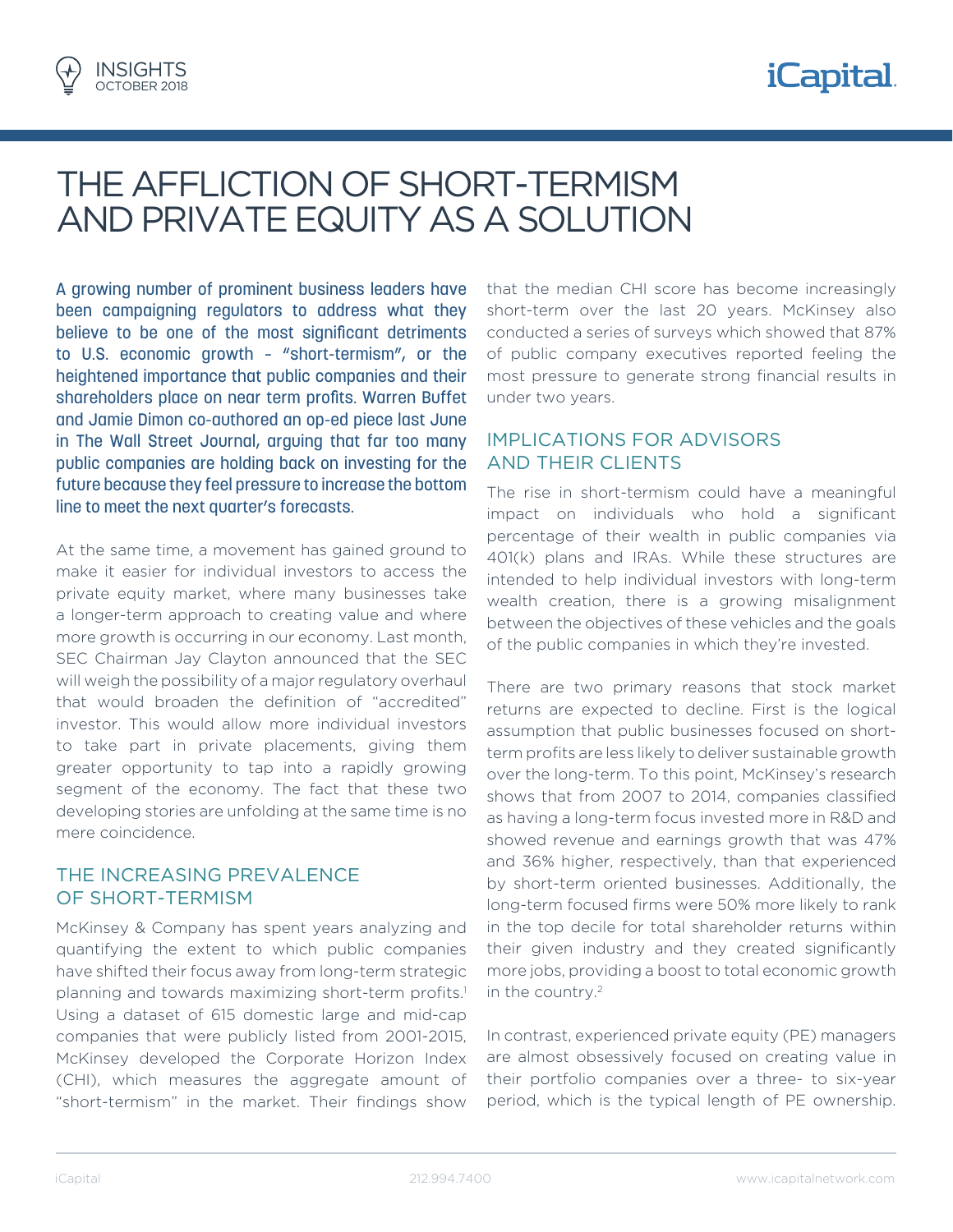

# THE AFFLICTION OF SHORT-TERMISM AND PRIVATE EQUITY AS A SOLUTION

A growing number of prominent business leaders have been campaigning regulators to address what they believe to be one of the most significant detriments to U.S. economic growth – "short-termism", or the heightened importance that public companies and their shareholders place on near term profits. Warren Buffet and Jamie Dimon co-authored an op-ed piece last June in The Wall Street Journal, arguing that far too many public companies are holding back on investing for the future because they feel pressure to increase the bottom line to meet the next quarter's forecasts.

At the same time, a movement has gained ground to make it easier for individual investors to access the private equity market, where many businesses take a longer-term approach to creating value and where more growth is occurring in our economy. Last month, SEC Chairman Jay Clayton announced that the SEC will weigh the possibility of a major regulatory overhaul that would broaden the definition of "accredited" investor. This would allow more individual investors to take part in private placements, giving them greater opportunity to tap into a rapidly growing segment of the economy. The fact that these two developing stories are unfolding at the same time is no mere coincidence.

#### THE INCREASING PREVALENCE OF SHORT-TERMISM

McKinsey & Company has spent years analyzing and quantifying the extent to which public companies have shifted their focus away from long-term strategic planning and towards maximizing short-term profits.<sup>1</sup> Using a dataset of 615 domestic large and mid-cap companies that were publicly listed from 2001-2015, McKinsey developed the Corporate Horizon Index (CHI), which measures the aggregate amount of "short-termism" in the market. Their findings show

that the median CHI score has become increasingly short-term over the last 20 years. McKinsey also conducted a series of surveys which showed that 87% of public company executives reported feeling the most pressure to generate strong financial results in under two years.

## IMPLICATIONS FOR ADVISORS AND THEIR CLIENTS

The rise in short-termism could have a meaningful impact on individuals who hold a significant percentage of their wealth in public companies via 401(k) plans and IRAs. While these structures are intended to help individual investors with long-term wealth creation, there is a growing misalignment between the objectives of these vehicles and the goals of the public companies in which they're invested.

There are two primary reasons that stock market returns are expected to decline. First is the logical assumption that public businesses focused on shortterm profits are less likely to deliver sustainable growth over the long-term. To this point, McKinsey's research shows that from 2007 to 2014, companies classified as having a long-term focus invested more in R&D and showed revenue and earnings growth that was 47% and 36% higher, respectively, than that experienced by short-term oriented businesses. Additionally, the long-term focused firms were 50% more likely to rank in the top decile for total shareholder returns within their given industry and they created significantly more jobs, providing a boost to total economic growth in the country.2

In contrast, experienced private equity (PE) managers are almost obsessively focused on creating value in their portfolio companies over a three- to six-year period, which is the typical length of PE ownership.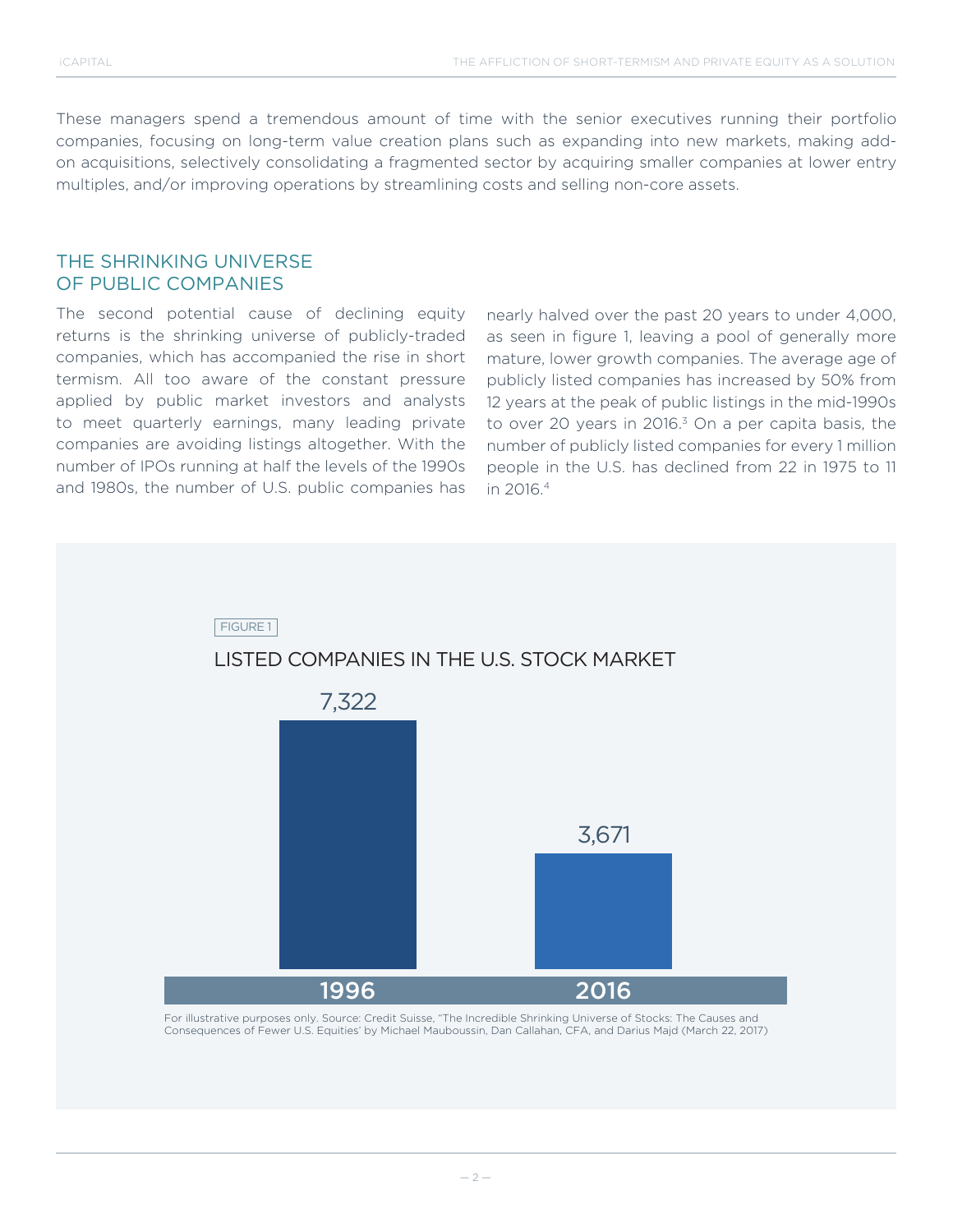These managers spend a tremendous amount of time with the senior executives running their portfolio companies, focusing on long-term value creation plans such as expanding into new markets, making addon acquisitions, selectively consolidating a fragmented sector by acquiring smaller companies at lower entry multiples, and/or improving operations by streamlining costs and selling non-core assets.

### THE SHRINKING UNIVERSE OF PUBLIC COMPANIES

The second potential cause of declining equity returns is the shrinking universe of publicly-traded companies, which has accompanied the rise in short termism. All too aware of the constant pressure applied by public market investors and analysts to meet quarterly earnings, many leading private companies are avoiding listings altogether. With the number of IPOs running at half the levels of the 1990s and 1980s, the number of U.S. public companies has

nearly halved over the past 20 years to under 4,000, as seen in figure 1, leaving a pool of generally more mature, lower growth companies. The average age of publicly listed companies has increased by 50% from 12 years at the peak of public listings in the mid-1990s to over 20 years in 2016.<sup>3</sup> On a per capita basis, the number of publicly listed companies for every 1 million people in the U.S. has declined from 22 in 1975 to 11 in 2016.4

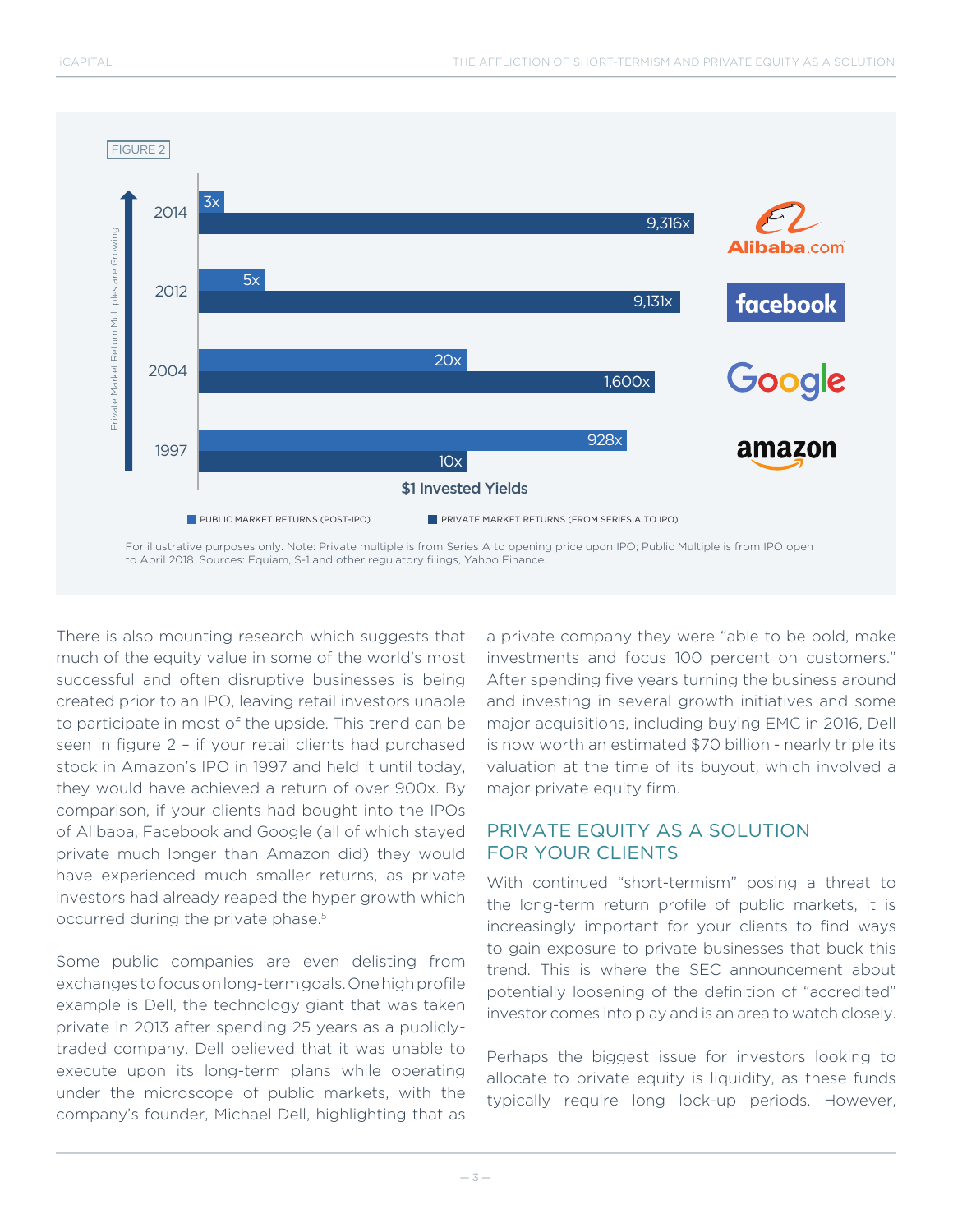

There is also mounting research which suggests that much of the equity value in some of the world's most successful and often disruptive businesses is being created prior to an IPO, leaving retail investors unable to participate in most of the upside. This trend can be seen in figure 2 – if your retail clients had purchased stock in Amazon's IPO in 1997 and held it until today, they would have achieved a return of over 900x. By comparison, if your clients had bought into the IPOs of Alibaba, Facebook and Google (all of which stayed private much longer than Amazon did) they would have experienced much smaller returns, as private investors had already reaped the hyper growth which occurred during the private phase.<sup>5</sup>

Some public companies are even delisting from exchanges to focus on long-term goals. One high profile example is Dell, the technology giant that was taken private in 2013 after spending 25 years as a publiclytraded company. Dell believed that it was unable to execute upon its long-term plans while operating under the microscope of public markets, with the company's founder, Michael Dell, highlighting that as a private company they were "able to be bold, make investments and focus 100 percent on customers." After spending five years turning the business around and investing in several growth initiatives and some major acquisitions, including buying EMC in 2016, Dell is now worth an estimated \$70 billion - nearly triple its valuation at the time of its buyout, which involved a major private equity firm.

# PRIVATE EQUITY AS A SOLUTION FOR YOUR CLIENTS

With continued "short-termism" posing a threat to the long-term return profile of public markets, it is increasingly important for your clients to find ways to gain exposure to private businesses that buck this trend. This is where the SEC announcement about potentially loosening of the definition of "accredited" investor comes into play and is an area to watch closely.

Perhaps the biggest issue for investors looking to allocate to private equity is liquidity, as these funds typically require long lock-up periods. However,